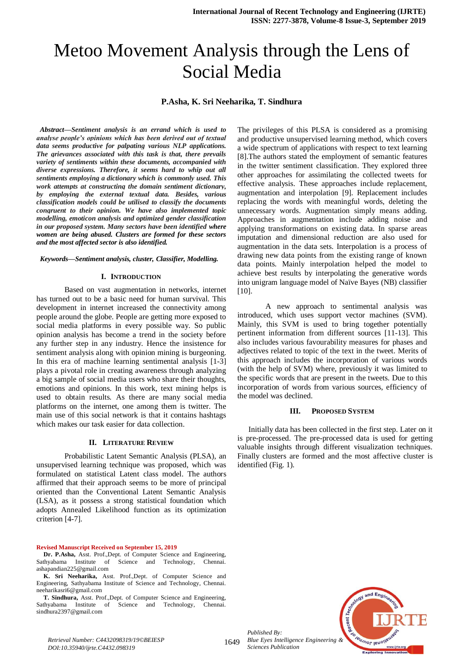# Metoo Movement Analysis through the Lens of Social Media

## **P.Asha, K. Sri Neeharika, T. Sindhura**

*Abstract—Sentiment analysis is an errand which is used to analyse people's opinions which has been derived out of textual data seems productive for palpating various NLP applications. The grievances associated with this task is that, there prevails variety of sentiments within these documents, accompanied with diverse expressions. Therefore, it seems hard to whip out all sentiments employing a dictionary which is commonly used. This work attempts at constructing the domain sentiment dictionary, by employing the external textual data. Besides, various classification models could be utilised to classify the documents congruent to their opinion. We have also implemented topic modelling, emoticon analysis and optimized gender classification in our proposed system. Many sectors have been identified where women are being abused. Clusters are formed for these sectors and the most affected sector is also identified.* 

#### *Keywords—Sentiment analysis, cluster, Classifier, Modelling.*

#### **I. INTRODUCTION**

Based on vast augmentation in networks, internet has turned out to be a basic need for human survival. This development in internet increased the connectivity among people around the globe. People are getting more exposed to social media platforms in every possible way. So public opinion analysis has become a trend in the society before any further step in any industry. Hence the insistence for sentiment analysis along with opinion mining is burgeoning. In this era of machine learning sentimental analysis [1-3] plays a pivotal role in creating awareness through analyzing a big sample of social media users who share their thoughts, emotions and opinions. In this work, text mining helps is used to obtain results. As there are many social media platforms on the internet, one among them is twitter. The main use of this social network is that it contains hashtags which makes our task easier for data collection.

#### **II. LITERATURE REVIEW**

Probabilistic Latent Semantic Analysis (PLSA), an unsupervised learning technique was proposed, which was formulated on statistical Latent class model. The authors affirmed that their approach seems to be more of principal oriented than the Conventional Latent Semantic Analysis (LSA), as it possess a strong statistical foundation which adopts Annealed Likelihood function as its optimization criterion [4-7].

#### **Revised Manuscript Received on September 15, 2019**

**Dr. P.Asha,** Asst. Prof.,Dept. of Computer Science and Engineering, Sathyabama Institute of Science and Technology, Chennai. ashapandian225@gmail.com

**K. Sri Neeharika,** Asst. Prof.,Dept. of Computer Science and Engineering, Sathyabama Institute of Science and Technology, Chennai. neeharikasri6@gmail.com

**T. Sindhura,** Asst. Prof.,Dept. of Computer Science and Engineering, Sathyabama Institute of Science and Technology, Chennai. sindhura2397@gmail.com

The privileges of this PLSA is considered as a promising and productive unsupervised learning method, which covers a wide spectrum of applications with respect to text learning [8].The authors stated the employment of semantic features in the twitter sentiment classification. They explored three other approaches for assimilating the collected tweets for effective analysis. These approaches include replacement, augmentation and interpolation [9]. Replacement includes replacing the words with meaningful words, deleting the unnecessary words. Augmentation simply means adding. Approaches in augmentation include adding noise and applying transformations on existing data. In sparse areas imputation and dimensional reduction are also used for augmentation in the data sets. Interpolation is a process of drawing new data points from the existing range of known data points. Mainly interpolation helped the model to achieve best results by interpolating the generative words into unigram language model of Naïve Bayes (NB) classifier [10].

A new approach to sentimental analysis was introduced, which uses support vector machines (SVM). Mainly, this SVM is used to bring together potentially pertinent information from different sources [11-13]. This also includes various favourability measures for phases and adjectives related to topic of the text in the tweet. Merits of this approach includes the incorporation of various words (with the help of SVM) where, previously it was limited to the specific words that are present in the tweets. Due to this incorporation of words from various sources, efficiency of the model was declined.

## **III. PROPOSED SYSTEM**

Initially data has been collected in the first step. Later on it is pre-processed. The pre-processed data is used for getting valuable insights through different visualization techniques. Finally clusters are formed and the most affective cluster is identified (Fig. 1).



*Retrieval Number: C4432098319/19©BEIESP DOI:10.35940/ijrte.C4432.098319*

1649

*Published By:*

*Sciences Publication*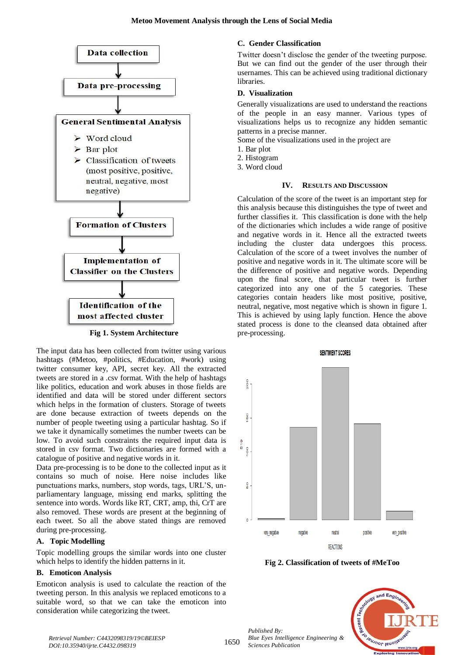

**Fig 1. System Architecture**

The input data has been collected from twitter using various hashtags (#Metoo, #politics, #Education, #work) using twitter consumer key, API, secret key. All the extracted tweets are stored in a .csv format. With the help of hashtags like politics, education and work abuses in those fields are identified and data will be stored under different sectors which helps in the formation of clusters. Storage of tweets are done because extraction of tweets depends on the number of people tweeting using a particular hashtag. So if we take it dynamically sometimes the number tweets can be low. To avoid such constraints the required input data is stored in csv format. Two dictionaries are formed with a catalogue of positive and negative words in it.

Data pre-processing is to be done to the collected input as it contains so much of noise. Here noise includes like punctuations marks, numbers, stop words, tags, URL'S, unparliamentary language, missing end marks, splitting the sentence into words. Words like RT, CRT, amp, thi, CrT are also removed. These words are present at the beginning of each tweet. So all the above stated things are removed during pre-processing.

## **A. Topic Modelling**

Topic modelling groups the similar words into one cluster which helps to identify the hidden patterns in it.

# **B. Emoticon Analysis**

Emoticon analysis is used to calculate the reaction of the tweeting person. In this analysis we replaced emoticons to a suitable word, so that we can take the emoticon into consideration while categorizing the tweet.

## **C. Gender Classification**

Twitter doesn't disclose the gender of the tweeting purpose. But we can find out the gender of the user through their usernames. This can be achieved using traditional dictionary **libraries** 

## **D. Visualization**

Generally visualizations are used to understand the reactions of the people in an easy manner. Various types of visualizations helps us to recognize any hidden semantic patterns in a precise manner.

Some of the visualizations used in the project are

- 1. Bar plot
- 2. Histogram
- 3. Word cloud

## **IV. RESULTS AND DISCUSSION**

Calculation of the score of the tweet is an important step for this analysis because this distinguishes the type of tweet and further classifies it. This classification is done with the help of the dictionaries which includes a wide range of positive and negative words in it. Hence all the extracted tweets including the cluster data undergoes this process. Calculation of the score of a tweet involves the number of positive and negative words in it. The ultimate score will be the difference of positive and negative words. Depending upon the final score, that particular tweet is further categorized into any one of the 5 categories. These categories contain headers like most positive, positive, neutral, negative, most negative which is shown in figure 1. This is achieved by using laply function. Hence the above stated process is done to the cleansed data obtained after pre-processing.



**Fig 2. Classification of tweets of #MeToo**

*Published By: Blue Eyes Intelligence Engineering & Sciences Publication* 



*Retrieval Number: C4432098319/19©BEIESP DOI:10.35940/ijrte.C4432.098319*